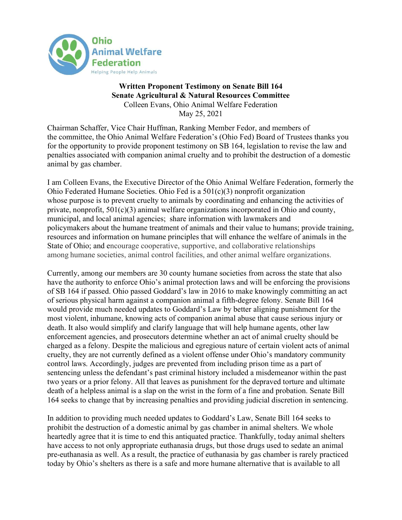

## Written Proponent Testimony on Senate Bill 164 Senate Agricultural & Natural Resources Committee Colleen Evans, Ohio Animal Welfare Federation May 25, 2021

Chairman Schaffer, Vice Chair Huffman, Ranking Member Fedor, and members of the committee, the Ohio Animal Welfare Federation's (Ohio Fed) Board of Trustees thanks you for the opportunity to provide proponent testimony on SB 164, legislation to revise the law and penalties associated with companion animal cruelty and to prohibit the destruction of a domestic animal by gas chamber.

I am Colleen Evans, the Executive Director of the Ohio Animal Welfare Federation, formerly the Ohio Federated Humane Societies. Ohio Fed is a 501(c)(3) nonprofit organization whose purpose is to prevent cruelty to animals by coordinating and enhancing the activities of private, nonprofit, 501(c)(3) animal welfare organizations incorporated in Ohio and county, municipal, and local animal agencies; share information with lawmakers and policymakers about the humane treatment of animals and their value to humans; provide training, resources and information on humane principles that will enhance the welfare of animals in the State of Ohio; and encourage cooperative, supportive, and collaborative relationships among humane societies, animal control facilities, and other animal welfare organizations.

Currently, among our members are 30 county humane societies from across the state that also have the authority to enforce Ohio's animal protection laws and will be enforcing the provisions of SB 164 if passed. Ohio passed Goddard's law in 2016 to make knowingly committing an act of serious physical harm against a companion animal a fifth-degree felony. Senate Bill 164 would provide much needed updates to Goddard's Law by better aligning punishment for the most violent, inhumane, knowing acts of companion animal abuse that cause serious injury or death. It also would simplify and clarify language that will help humane agents, other law enforcement agencies, and prosecutors determine whether an act of animal cruelty should be charged as a felony. Despite the malicious and egregious nature of certain violent acts of animal cruelty, they are not currently defined as a violent offense under Ohio's mandatory community control laws. Accordingly, judges are prevented from including prison time as a part of sentencing unless the defendant's past criminal history included a misdemeanor within the past two years or a prior felony. All that leaves as punishment for the depraved torture and ultimate death of a helpless animal is a slap on the wrist in the form of a fine and probation. Senate Bill 164 seeks to change that by increasing penalties and providing judicial discretion in sentencing.

In addition to providing much needed updates to Goddard's Law, Senate Bill 164 seeks to prohibit the destruction of a domestic animal by gas chamber in animal shelters. We whole heartedly agree that it is time to end this antiquated practice. Thankfully, today animal shelters have access to not only appropriate euthanasia drugs, but those drugs used to sedate an animal pre-euthanasia as well. As a result, the practice of euthanasia by gas chamber is rarely practiced today by Ohio's shelters as there is a safe and more humane alternative that is available to all